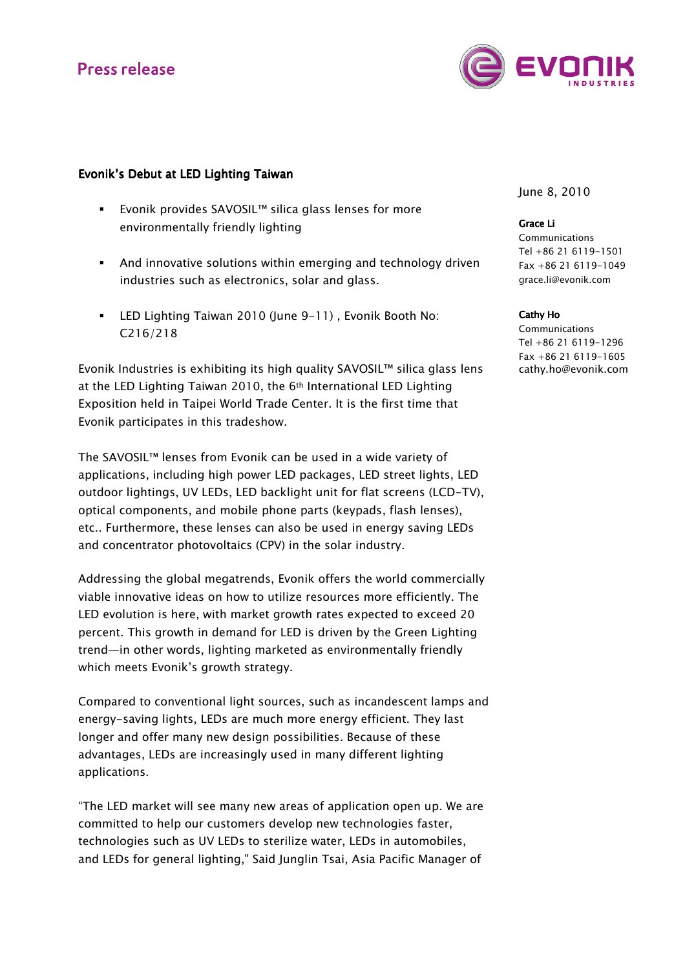# **Press release**



### Evonik's Debut at LED Lighting Taiwan

- Evonik provides SAVOSIL™ silica glass lenses for more environmentally friendly lighting
- And innovative solutions within emerging and technology driven industries such as electronics, solar and glass.
- LED Lighting Taiwan 2010 (June 9-11) , Evonik Booth No: C216/218

Evonik Industries is exhibiting its high quality SAVOSIL™ silica glass lens at the LED Lighting Taiwan 2010, the 6<sup>th</sup> International LED Lighting Exposition held in Taipei World Trade Center. It is the first time that Evonik participates in this tradeshow.

The SAVOSIL™ lenses from Evonik can be used in a wide variety of applications, including high power LED packages, LED street lights, LED outdoor lightings, UV LEDs, LED backlight unit for flat screens (LCD-TV), optical components, and mobile phone parts (keypads, flash lenses), etc.. Furthermore, these lenses can also be used in energy saving LEDs and concentrator photovoltaics (CPV) in the solar industry.

Addressing the global megatrends, Evonik offers the world commercially viable innovative ideas on how to utilize resources more efficiently. The LED evolution is here, with market growth rates expected to exceed 20 percent. This growth in demand for LED is driven by the Green Lighting trend—in other words, lighting marketed as environmentally friendly which meets Evonik's growth strategy.

Compared to conventional light sources, such as incandescent lamps and energy-saving lights, LEDs are much more energy efficient. They last longer and offer many new design possibilities. Because of these advantages, LEDs are increasingly used in many different lighting applications.

"The LED market will see many new areas of application open up. We are committed to help our customers develop new technologies faster, technologies such as UV LEDs to sterilize water, LEDs in automobiles, and LEDs for general lighting," Said Junglin Tsai, Asia Pacific Manager of

June 8, 2010

Grace Li **Communications** Tel +86 21 6119-1501 Fax +86 21 6119-1049 grace.li@evonik.com

Cathy Ho

Communications Tel +86 21 6119-1296 Fax +86 21 6119-1605 cathy.ho@evonik.com